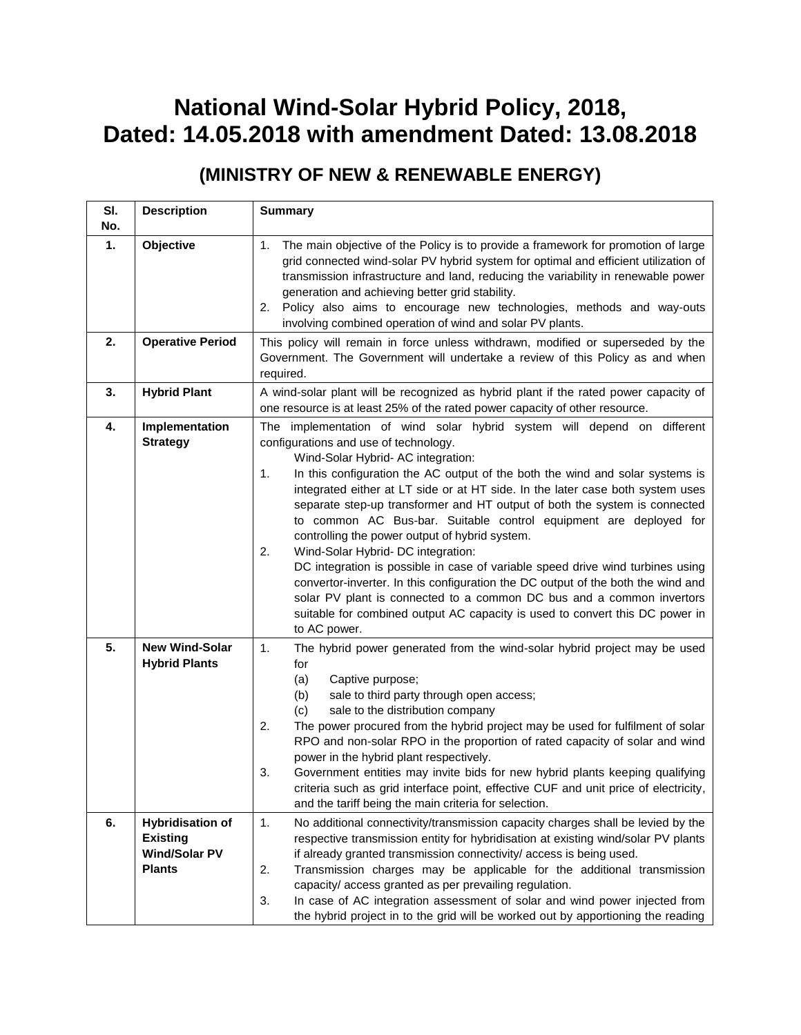## **National Wind-Solar Hybrid Policy, 2018, Dated: 14.05.2018 with amendment Dated: 13.08.2018**

## **(MINISTRY OF NEW & RENEWABLE ENERGY)**

| SI.<br>No. | <b>Description</b>                                                                  | <b>Summary</b>                                                                                                                                                                                                                                                                                                                                                                                                                                                                                                                                                                                                                                                                                                                                                                                                                                                                                                                  |
|------------|-------------------------------------------------------------------------------------|---------------------------------------------------------------------------------------------------------------------------------------------------------------------------------------------------------------------------------------------------------------------------------------------------------------------------------------------------------------------------------------------------------------------------------------------------------------------------------------------------------------------------------------------------------------------------------------------------------------------------------------------------------------------------------------------------------------------------------------------------------------------------------------------------------------------------------------------------------------------------------------------------------------------------------|
| 1.         | Objective                                                                           | The main objective of the Policy is to provide a framework for promotion of large<br>1.<br>grid connected wind-solar PV hybrid system for optimal and efficient utilization of<br>transmission infrastructure and land, reducing the variability in renewable power<br>generation and achieving better grid stability.<br>Policy also aims to encourage new technologies, methods and way-outs<br>2.<br>involving combined operation of wind and solar PV plants.                                                                                                                                                                                                                                                                                                                                                                                                                                                               |
| 2.         | <b>Operative Period</b>                                                             | This policy will remain in force unless withdrawn, modified or superseded by the<br>Government. The Government will undertake a review of this Policy as and when<br>required.                                                                                                                                                                                                                                                                                                                                                                                                                                                                                                                                                                                                                                                                                                                                                  |
| 3.         | <b>Hybrid Plant</b>                                                                 | A wind-solar plant will be recognized as hybrid plant if the rated power capacity of<br>one resource is at least 25% of the rated power capacity of other resource.                                                                                                                                                                                                                                                                                                                                                                                                                                                                                                                                                                                                                                                                                                                                                             |
| 4.         | Implementation<br><b>Strategy</b>                                                   | The implementation of wind solar hybrid system will depend on different<br>configurations and use of technology.<br>Wind-Solar Hybrid- AC integration:<br>In this configuration the AC output of the both the wind and solar systems is<br>1.<br>integrated either at LT side or at HT side. In the later case both system uses<br>separate step-up transformer and HT output of both the system is connected<br>to common AC Bus-bar. Suitable control equipment are deployed for<br>controlling the power output of hybrid system.<br>2.<br>Wind-Solar Hybrid- DC integration:<br>DC integration is possible in case of variable speed drive wind turbines using<br>convertor-inverter. In this configuration the DC output of the both the wind and<br>solar PV plant is connected to a common DC bus and a common invertors<br>suitable for combined output AC capacity is used to convert this DC power in<br>to AC power. |
| 5.         | <b>New Wind-Solar</b><br><b>Hybrid Plants</b>                                       | 1.<br>The hybrid power generated from the wind-solar hybrid project may be used<br>for<br>(a)<br>Captive purpose;<br>sale to third party through open access;<br>(b)<br>sale to the distribution company<br>(c)<br>2.<br>The power procured from the hybrid project may be used for fulfilment of solar<br>RPO and non-solar RPO in the proportion of rated capacity of solar and wind<br>power in the hybrid plant respectively.<br>3.<br>Government entities may invite bids for new hybrid plants keeping qualifying<br>criteria such as grid interface point, effective CUF and unit price of electricity,<br>and the tariff being the main criteria for selection.                                                                                                                                                                                                                                                         |
| 6.         | <b>Hybridisation of</b><br><b>Existing</b><br><b>Wind/Solar PV</b><br><b>Plants</b> | 1.<br>No additional connectivity/transmission capacity charges shall be levied by the<br>respective transmission entity for hybridisation at existing wind/solar PV plants<br>if already granted transmission connectivity/ access is being used.<br>2.<br>Transmission charges may be applicable for the additional transmission<br>capacity/access granted as per prevailing regulation.<br>3.<br>In case of AC integration assessment of solar and wind power injected from<br>the hybrid project in to the grid will be worked out by apportioning the reading                                                                                                                                                                                                                                                                                                                                                              |